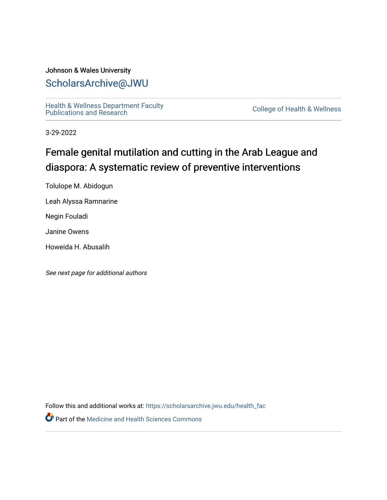# Johnson & Wales University [ScholarsArchive@JWU](https://scholarsarchive.jwu.edu/)

Health & Wellness Department Faculty<br>Publications and Research

**College of Health & Wellness** 

3-29-2022

# Female genital mutilation and cutting in the Arab League and diaspora: A systematic review of preventive interventions

Tolulope M. Abidogun

Leah Alyssa Ramnarine

Negin Fouladi

Janine Owens

Howeida H. Abusalih

See next page for additional authors

Follow this and additional works at: [https://scholarsarchive.jwu.edu/health\\_fac](https://scholarsarchive.jwu.edu/health_fac?utm_source=scholarsarchive.jwu.edu%2Fhealth_fac%2F144&utm_medium=PDF&utm_campaign=PDFCoverPages) 

Part of the [Medicine and Health Sciences Commons](http://network.bepress.com/hgg/discipline/648?utm_source=scholarsarchive.jwu.edu%2Fhealth_fac%2F144&utm_medium=PDF&utm_campaign=PDFCoverPages)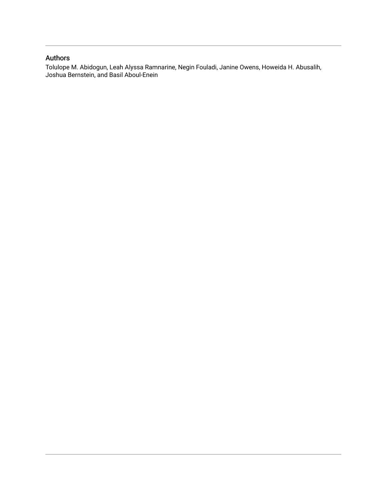## Authors

Tolulope M. Abidogun, Leah Alyssa Ramnarine, Negin Fouladi, Janine Owens, Howeida H. Abusalih, Joshua Bernstein, and Basil Aboul-Enein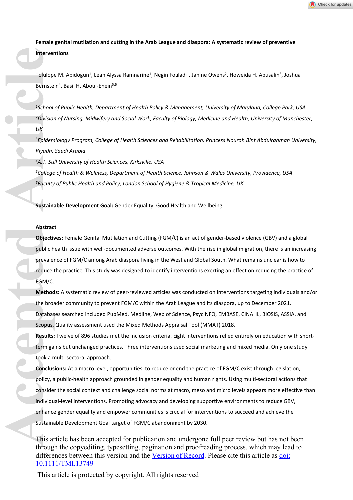**Female genital mutilation and cutting in the Arab League and diaspora: A systematic review of preventive interventions**

Tolulope M. Abidogun<sup>1</sup>, Leah Alyssa Ramnarine<sup>1</sup>, Negin Fouladi<sup>1</sup>, Janine Owens<sup>2</sup>, Howeida H. Abusalih<sup>3</sup>, Joshua Bernstein<sup>4</sup>, Basil H. Aboul-Enein<sup>5,6</sup>

*<sup>1</sup>School of Public Health, Department of Health Policy & Management, University of Maryland, College Park, USA <sup>2</sup>Division of Nursing, Midwifery and Social Work, Faculty of Biology, Medicine and Health, University of Manchester, UK*

*<sup>3</sup>Epidemiology Program, College of Health Sciences and Rehabilitation, Princess Nourah Bint Abdulrahman University, Riyadh, Saudi Arabia*

*<sup>4</sup>A.T. Still University of Health Sciences, Kirksville, USA*

*<sup>5</sup>College of Health & Wellness, Department of Health Science, Johnson & Wales University, Providence, USA <sup>6</sup>Faculty of Public Health and Policy, London School of Hygiene & Tropical Medicine, UK*

**Sustainable Development Goal:** Gender Equality, Good Health and Wellbeing

#### **Abstract**

**Objectives:** Female Genital Mutilation and Cutting (FGM/C) is an act of gender-based violence (GBV) and a global public health issue with well-documented adverse outcomes. With the rise in global migration, there is an increasing prevalence of FGM/C among Arab diaspora living in the West and Global South. What remains unclear is how to reduce the practice. This study was designed to identify interventions exerting an effect on reducing the practice of FGM/C.

**Methods:** A systematic review of peer-reviewed articles was conducted on interventions targeting individuals and/or the broader community to prevent FGM/C within the Arab League and its diaspora, up to December 2021. Databases searched included PubMed, Medline, Web of Science, PsycINFO, EMBASE, CINAHL, BIOSIS, ASSIA, and Scopus. Quality assessment used the Mixed Methods Appraisal Tool (MMAT) 2018.

**Results:** Twelve of 896 studies met the inclusion criteria. Eight interventions relied entirely on education with shortterm gains but unchanged practices. Three interventions used social marketing and mixed media. Only one study took a multi-sectoral approach.

**Conclusions:** At a macro level, opportunities to reduce or end the practice of FGM/C exist through legislation, policy, a public-health approach grounded in gender equality and human rights. Using multi-sectoral actions that consider the social context and challenge social norms at macro, meso and micro levels appears more effective than individual-level interventions. Promoting advocacy and developing supportive environments to reduce GBV, enhance gender equality and empower communities is crucial for interventions to succeed and achieve the Sustainable Development Goal target of FGM/C abandonment by 2030. **Accessibility**<br> **Accessibility**<br> **Accessibility**<br> **Accessibility**<br> **Accessibility**<br> **Accessibility**<br> **Accessibility**<br> **Accessibility**<br> **Accessibility**<br> **Accessibility**<br> **Accessibility**<br> **Accessibility**<br> **Accessibility**<br>

This article has been accepted for publication and undergone full peer review but has not been through the copyediting, typesetting, pagination and proofreading process, which may lead to differences between this version and the [Version of Record.](https://doi.org/10.1111/TMI.13749) Please cite this article as [doi:](https://doi.org/10.1111/TMI.13749)  [10.1111/TMI.13749](https://doi.org/10.1111/TMI.13749)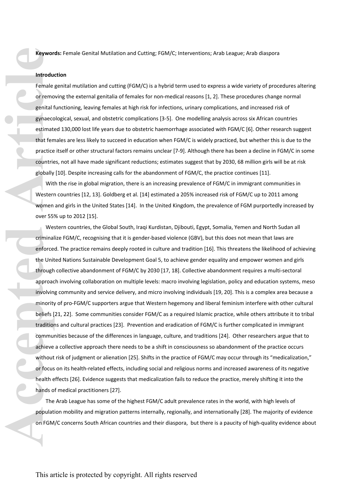**Keywords:** Female Genital Mutilation and Cutting; FGM/C; Interventions; Arab League; Arab diaspora

#### **Introduction**

Female genital mutilation and cutting (FGM/C) is a hybrid term used to express a wide variety of procedures altering or removing the external genitalia of females for non-medical reasons [1, 2]. These procedures change normal genital functioning, leaving females at high risk for infections, urinary complications, and increased risk of gynaecological, sexual, and obstetric complications [3-5]. One modelling analysis across six African countries estimated 130,000 lost life years due to obstetric haemorrhage associated with FGM/C [6]. Other research suggest that females are less likely to succeed in education when FGM/C is widely practiced, but whether this is due to the practice itself or other structural factors remains unclear [7-9]. Although there has been a decline in FGM/C in some countries, not all have made significant reductions; estimates suggest that by 2030, 68 million girls will be at risk globally [10]. Despite increasing calls for the abandonment of FGM/C, the practice continues [11].

With the rise in global migration, there is an increasing prevalence of FGM/C in immigrant communities in Western countries [12, 13]. Goldberg et al. [14] estimated a 205% increased risk of FGM/C up to 2011 among women and girls in the United States [14]. In the United Kingdom, the prevalence of FGM purportedly increased by over 55% up to 2012 [15].

Western countries, the Global South, Iraqi Kurdistan, Djibouti, Egypt, Somalia, Yemen and North Sudan all criminalize FGM/C, recognising that it is gender-based violence (GBV), but this does not mean that laws are enforced. The practice remains deeply rooted in culture and tradition [16]. This threatens the likelihood of achieving the United Nations Sustainable Development Goal 5, to achieve gender equality and empower women and girls through collective abandonment of FGM/C by 2030 [17, 18]. Collective abandonment requires a multi-sectoral approach involving collaboration on multiple levels: macro involving legislation, policy and education systems, meso involving community and service delivery, and micro involving individuals [19, 20]. This is a complex area because a minority of pro-FGM/C supporters argue that Western hegemony and liberal feminism interfere with other cultural beliefs [21, 22]. Some communities consider FGM/C as a required Islamic practice, while others attribute it to tribal traditions and cultural practices [23]. Prevention and eradication of FGM/C is further complicated in immigrant communities because of the differences in language, culture, and traditions [24]. Other researchers argue that to achieve a collective approach there needs to be a shift in consciousness so abandonment of the practice occurs without risk of judgment or alienation [25]. Shifts in the practice of FGM/C may occur through its "medicalization," or focus on its health-related effects, including social and religious norms and increased awareness of its negative health effects [26]. Evidence suggests that medicalization fails to reduce the practice, merely shifting it into the hands of medical practitioners [27]. **Access Transformation**<br> **Access Transformation**<br> **Access Transformation**<br> **Access Transformation**<br> **Access Transformation**<br> **Access Transformation**<br> **Access Transformation**<br> **Access Transformation**<br> **Access Transformation** 

The Arab League has some of the highest FGM/C adult prevalence rates in the world, with high levels of population mobility and migration patterns internally, regionally, and internationally [28]. The majority of evidence on FGM/C concerns South African countries and their diaspora, but there is a paucity of high-quality evidence about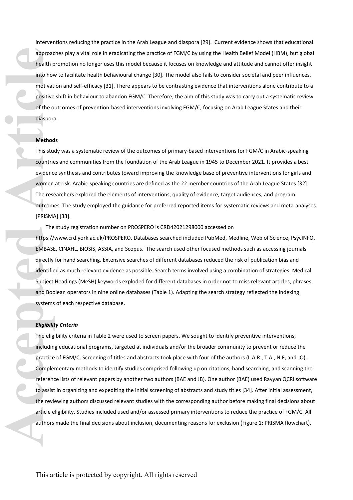interventions reducing the practice in the Arab League and diaspora [29]. Current evidence shows that educational approaches play a vital role in eradicating the practice of FGM/C by using the Health Belief Model (HBM), but global health promotion no longer uses this model because it focuses on knowledge and attitude and cannot offer insight into how to facilitate health behavioural change [30]. The model also fails to consider societal and peer influences, motivation and self-efficacy [31]. There appears to be contrasting evidence that interventions alone contribute to a positive shift in behaviour to abandon FGM/C. Therefore, the aim of this study was to carry out a systematic review of the outcomes of prevention-based interventions involving FGM/C, focusing on Arab League States and their diaspora.

#### **Methods**

This study was a systematic review of the outcomes of primary-based interventions for FGM/C in Arabic-speaking countries and communities from the foundation of the Arab League in 1945 to December 2021. It provides a best evidence synthesis and contributes toward improving the knowledge base of preventive interventions for girls and women at risk. Arabic-speaking countries are defined as the 22 member countries of the Arab League States [32]. The researchers explored the elements of interventions, quality of evidence, target audiences, and program outcomes. The study employed the guidance for preferred reported items for systematic reviews and meta-analyses [PRISMA] [33].

The study registration number on PROSPERO is CRD42021298000 accessed on

<https://www.crd.york.ac.uk/PROSPERO>. Databases searched included PubMed, Medline, Web of Science, PsycINFO, EMBASE, CINAHL, BIOSIS, ASSIA, and Scopus. The search used other focused methods such as accessing journals directly for hand searching. Extensive searches of different databases reduced the risk of publication bias and identified as much relevant evidence as possible. Search terms involved using a combination of strategies: Medical Subject Headings (MeSH) keywords exploded for different databases in order not to miss relevant articles, phrases, and Boolean operators in nine online databases (Table 1). Adapting the search strategy reflected the indexing systems of each respective database.

#### *Eligibility Criteria*

The eligibility criteria in Table 2 were used to screen papers. We sought to identify preventive interventions, including educational programs, targeted at individuals and/or the broader community to prevent or reduce the practice of FGM/C. Screening of titles and abstracts took place with four of the authors (L.A.R., T.A., N.F, and JO). Complementary methods to identify studies comprised following up on citations, hand searching, and scanning the reference lists of relevant papers by another two authors (BAE and JB). One author (BAE) used Rayyan QCRI software to assist in organizing and expediting the initial screening of abstracts and study titles [34]. After initial assessment, the reviewing authors discussed relevant studies with the corresponding author before making final decisions about article eligibility. Studies included used and/or assessed primary interventions to reduce the practice of FGM/C. All authors made the final decisions about inclusion, documenting reasons for exclusion (Figure 1: PRISMA flowchart). **Accepted Article**<br> **Accepted Article**<br> **Acception**<br> **Acception**<br> **Accepted Article**<br> **Accepted Article**<br> **Accepted Article**<br> **Accepted Article**<br> **Accepted Article**<br> **Accepted Article**<br> **Accepted Article**<br> **Accepted Articl**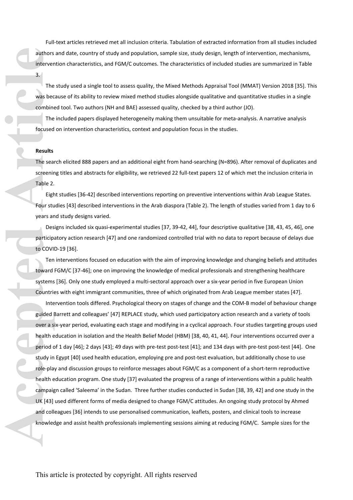Full-text articles retrieved met all inclusion criteria. Tabulation of extracted information from all studies included authors and date, country of study and population, sample size, study design, length of intervention, mechanisms, intervention characteristics, and FGM/C outcomes. The characteristics of included studies are summarized in Table 3.

The study used a single tool to assess quality, the Mixed Methods Appraisal Tool (MMAT) Version 2018 [35]. This was because of its ability to review mixed method studies alongside qualitative and quantitative studies in a single combined tool. Two authors (NH and BAE) assessed quality, checked by a third author (JO).

The included papers displayed heterogeneity making them unsuitable for meta-analysis. A narrative analysis focused on intervention characteristics, context and population focus in the studies.

#### **Results**

The search elicited 888 papers and an additional eight from hand-searching (N=896). After removal of duplicates and screening titles and abstracts for eligibility, we retrieved 22 full-text papers 12 of which met the inclusion criteria in Table 2.

Eight studies [36-42] described interventions reporting on preventive interventions within Arab League States. Four studies [43] described interventions in the Arab diaspora (Table 2). The length of studies varied from 1 day to 6 years and study designs varied.

Designs included six quasi-experimental studies [37, 39-42, 44], four descriptive qualitative [38, 43, 45, 46], one participatory action research [47] and one randomized controlled trial with no data to report because of delays due to COVID-19 [36].

Ten interventions focused on education with the aim of improving knowledge and changing beliefs and attitudes toward FGM/C [37-46]; one on improving the knowledge of medical professionals and strengthening healthcare systems [36]. Only one study employed a multi-sectoral approach over a six-year period in five European Union Countries with eight immigrant communities, three of which originated from Arab League member states [47].

Intervention tools differed. Psychological theory on stages of change and the COM-B model of behaviour change guided Barrett and colleagues' [47] REPLACE study, which used participatory action research and a variety of tools over a six-year period, evaluating each stage and modifying in a cyclical approach. Four studies targeting groups used health education in isolation and the Health Belief Model (HBM) [38, 40, 41, 44]. Four interventions occurred over a period of 1 day [46]; 2 days [43]; 49 days with pre-test post-test [41]; and 134 days with pre-test post-test [44]. One study in Egypt [40] used health education, employing pre and post-test evaluation, but additionally chose to use role-play and discussion groups to reinforce messages about FGM/C as a component of a short-term reproductive health education program. One study [37] evaluated the progress of a range of interventions within a public health campaign called 'Saleema' in the Sudan. Three further studies conducted in Sudan [38, 39, 42] and one study in the UK [43] used different forms of media designed to change FGM/C attitudes. An ongoing study protocol by Ahmed and colleagues [36] intends to use personalised communication, leaflets, posters, and clinical tools to increase knowledge and assist health professionals implementing sessions aiming at reducing FGM/C. Sample sizes for the **Acception**<br> **Acception**<br> **Accepted Article**<br> **Article**<br> **Acception**<br> **Acception**<br> **Accepted Results**<br> **Results**<br> **Results**<br> **The sea screenir<br>
<b>Table 2.**<br> **Eighter Screenir<br>
<b>Four study and Systems**<br> **Countric Left Condit**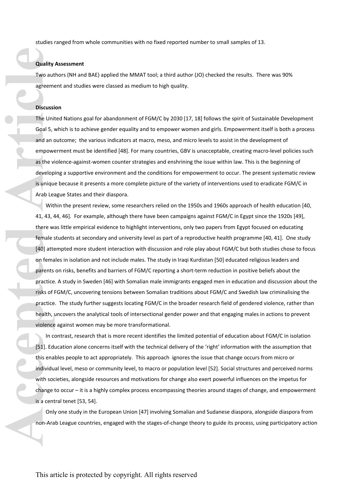studies ranged from whole communities with no fixed reported number to small samples of 13.

#### **Quality Assessment**

Two authors (NH and BAE) applied the MMAT tool; a third author (JO) checked the results. There was 90% agreement and studies were classed as medium to high quality.

#### **Discussion**

The United Nations goal for abandonment of FGM/C by 2030 [17, 18] follows the spirit of Sustainable Development Goal 5, which is to achieve gender equality and to empower women and girls. Empowerment itself is both a process and an outcome; the various indicators at macro, meso, and micro levels to assist in the development of empowerment must be identified [48]. For many countries, GBV is unacceptable, creating macro-level policies such as the violence-against-women counter strategies and enshrining the issue within law. This is the beginning of developing a supportive environment and the conditions for empowerment to occur. The present systematic review is unique because it presents a more complete picture of the variety of interventions used to eradicate FGM/C in Arab League States and their diaspora.

Within the present review, some researchers relied on the 1950s and 1960s approach of health education [40, 41, 43, 44, 46]. For example, although there have been campaigns against FGM/C in Egypt since the 1920s [49], there was little empirical evidence to highlight interventions, only two papers from Egypt focused on educating female students at secondary and university level as part of a reproductive health programme [40, 41]. One study [40] attempted more student interaction with discussion and role play about FGM/C but both studies chose to focus on females in isolation and not include males. The study in Iraqi Kurdistan [50] educated religious leaders and parents on risks, benefits and barriers of FGM/C reporting a short-term reduction in positive beliefs about the practice. A study in Sweden [46] with Somalian male immigrants engaged men in education and discussion about the risks of FGM/C, uncovering tensions between Somalian traditions about FGM/C and Swedish law criminalising the practice. The study further suggests locating FGM/C in the broader research field of gendered violence, rather than health, uncovers the analytical tools of intersectional gender power and that engaging males in actions to prevent violence against women may be more transformational. **Quality**<br>Two aut<br>agreem<br>Discussi<br>The Unit<br>Goal 5, and an of empower<br>as the v<br>develop<br>is unique<br>Arab Le:<br>Wit<br>41, 43, 4<br>there w female s<br>(40) atter are male s<br>(40) atternal est<br>on female s<br>parents<br>parents<br>parents<br>parents<br>pa

In contrast, research that is more recent identifies the limited potential of education about FGM/C in isolation [51]. Education alone concerns itself with the technical delivery of the 'right' information with the assumption that this enables people to act appropriately. This approach ignores the issue that change occurs from micro or individual level, meso or community level, to macro or population level [52]. Social structures and perceived norms with societies, alongside resources and motivations for change also exert powerful influences on the impetus for change to occur – it is a highly complex process encompassing theories around stages of change, and empowerment is a central tenet [53, 54].

Only one study in the European Union [47] involving Somalian and Sudanese diaspora, alongside diaspora from non-Arab League countries, engaged with the stages-of-change theory to guide its process, using participatory action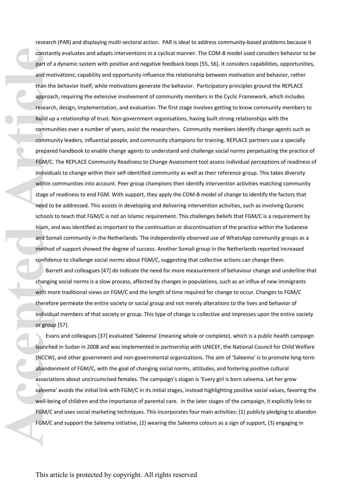research (PAR) and displaying multi-sectoral action. PAR is ideal to address community-based problems because it constantly evaluates and adapts interventions in a cyclical manner. The COM-B model used considers behavior to be part of a dynamic system with positive and negative feedback loops [55, 56]. It considers capabilities, opportunities, and motivations; capability and opportunity influence the relationship between motivation and behavior, rather than the behavior itself, while motivations generate the behavior. Participatory principles ground the REPLACE approach, requiring the extensive involvement of community members in the Cyclic Framework, which includes research, design, implementation, and evaluation. The first stage involves getting to know community members to build up a relationship of trust. Non-government organisations, having built strong relationships with the communities over a number of years, assist the researchers. Community members identify change agents such as community leaders, influential people, and community champions for training. REPLACE partners use a specially prepared handbook to enable change agents to understand and challenge social norms perpetuating the practice of FGM/C. The REPLACE Community Readiness to Change Assessment tool assess individual perceptions of readiness of individuals to change within their self-identified community as well as their reference group. This takes diversity within communities into account. Peer group champions then identify intervention activities matching community stage of readiness to end FGM. With support, they apply the COM-B model of change to identify the factors that need to be addressed. This assists in developing and delivering intervention activities, such as involving Quranic schools to teach that FGM/C is not an Islamic requirement. This challenges beliefs that FGM/C is a requirement by Islam, and was identified as important to the continuation or discontinuation of the practice within the Sudanese and Somali community in the Netherlands. The independently observed use of WhatsApp community groups as a method of support showed the degree of success. Another Somali group in the Netherlands reported increased confidence to challenge social norms about FGM/C, suggesting that collective actions can change them. constant part of a and motion and motion and motion of the approach community prepare FGM/C. individual within community prepare FGM/C. individual within constant of the schools Islam, a and Somethod confider Barr changin

Barrett and colleagues [47] do indicate the need for more measurement of behaviour change and underline that changing social norms is a slow process, affected by changes in populations, such as an influx of new immigrants with more traditional views on FGM/C and the length of time required for change to occur. Changes to FGM/C therefore permeate the entire society or social group and not merely alterations to the lives and behavior of individual members of that society or group. This type of change is collective and impresses upon the entire society or group [57].

Evans and colleagues [37] evaluated 'Saleema' (meaning whole or complete), which is a public health campaign launched in Sudan in 2008 and was implemented in partnership with UNICEF, the National Council for Child Welfare (NCCW), and other government and non-governmental organizations. The aim of 'Saleema' is to promote long-term abandonment of FGM/C, with the goal of changing social norms, attitudes, and fostering positive cultural associations about uncircumcised females. The campaign's slogan is 'Every girl is born saleema. Let her grow saleema' avoids the initial link with FGM/C in its initial stages, instead highlighting positive social values, favoring the well-being of children and the importance of parental care. In the later stages of the campaign, it explicitly links to FGM/C and uses social marketing techniques. This incorporates four main activities: (1) publicly pledging to abandon FGM/C and support the Saleema initiative, (2) wearing the Saleema colours as a sign of support, (3) engaging in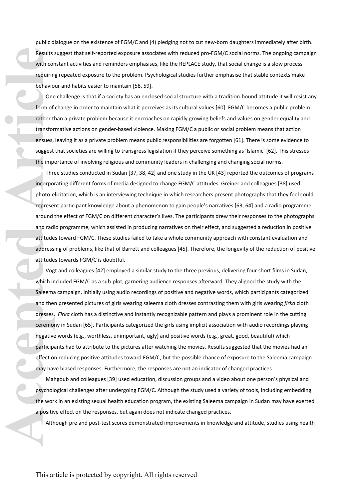public dialogue on the existence of FGM/C and (4) pledging not to cut new-born daughters immediately after birth. Results suggest that self-reported exposure associates with reduced pro-FGM/C social norms. The ongoing campaign with constant activities and reminders emphasises, like the REPLACE study, that social change is a slow process requiring repeated exposure to the problem. Psychological studies further emphasise that stable contexts make behaviour and habits easier to maintain [58, 59].

One challenge is that if a society has an enclosed social structure with a tradition-bound attitude it will resist any form of change in order to maintain what it perceives as its cultural values [60]. FGM/C becomes a public problem rather than a private problem because it encroaches on rapidly growing beliefs and values on gender equality and transformative actions on gender-based violence. Making FGM/C a public or social problem means that action ensues, leaving it as a private problem means public responsibilities are forgotten [61]. There is some evidence to suggest that societies are willing to transgress legislation if they perceive something as 'Islamic' [62]. This stresses the importance of involving religious and community leaders in challenging and changing social norms.

Three studies conducted in Sudan [37, 38, 42] and one study in the UK [43] reported the outcomes of programs incorporating different forms of media designed to change FGM/C attitudes. Greiner and colleagues [38] used photo-elicitation, which is an interviewing technique in which researchers present photographs that they feel could represent participant knowledge about a phenomenon to gain people's narratives [63, 64] and a radio programme around the effect of FGM/C on different character's lives. The participants drew their responses to the photographs and radio programme, which assisted in producing narratives on their effect, and suggested a reduction in positive attitudes toward FGM/C. These studies failed to take a whole community approach with constant evaluation and addressing of problems, like that of Barrett and colleagues [45]. Therefore, the longevity of the reduction of positive attitudes towards FGM/C is doubtful.

Vogt and colleagues [42] employed a similar study to the three previous, delivering four short films in Sudan, which included FGM/C as a sub-plot, garnering audience responses afterward. They aligned the study with the Saleema campaign, initially using audio recordings of positive and negative words, which participants categorized and then presented pictures of girls wearing saleema cloth dresses contrasting them with girls wearing *firka* cloth dresses. *Firka* cloth has a distinctive and instantly recognizable pattern and plays a prominent role in the cutting ceremony in Sudan [65]. Participants categorized the girls using implicit association with audio recordings playing negative words (e.g., worthless, unimportant, ugly) and positive words (e.g., great, good, beautiful) which participants had to attribute to the pictures after watching the movies. Results suggested that the movies had an effect on reducing positive attitudes toward FGM/C, but the possible chance of exposure to the Saleema campaign may have biased responses. Furthermore, the responses are not an indicator of changed practices. **Accelering the implementary of the selection of the selection of the implementary of the implementary of the implementary of the implementary of the implementary of the implementary of the word of the word a positive dual** 

Mahgoub and colleagues [39] used education, discussion groups and a video about one person's physical and psychological challenges after undergoing FGM/C. Although the study used a variety of tools, including embedding the work in an existing sexual health education program, the existing Saleema campaign in Sudan may have exerted a positive effect on the responses, but again does not indicate changed practices.

Although pre and post-test scores demonstrated improvements in knowledge and attitude, studies using health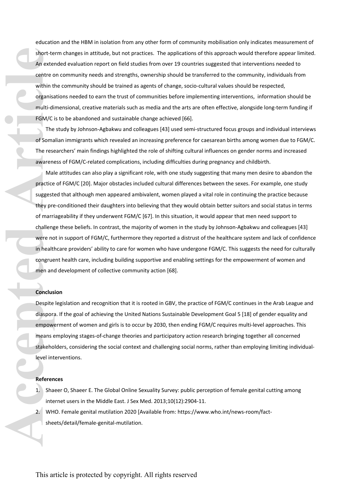education and the HBM in isolation from any other form of community mobilisation only indicates measurement of short-term changes in attitude, but not practices. The applications of this approach would therefore appear limited. An extended evaluation report on field studies from over 19 countries suggested that interventions needed to centre on community needs and strengths, ownership should be transferred to the community, individuals from within the community should be trained as agents of change, socio-cultural values should be respected, organisations needed to earn the trust of communities before implementing interventions, information should be multi-dimensional, creative materials such as media and the arts are often effective, alongside long-term funding if FGM/C is to be abandoned and sustainable change achieved [66].

The study by Johnson-Agbakwu and colleagues [43] used semi-structured focus groups and individual interviews of Somalian immigrants which revealed an increasing preference for caesarean births among women due to FGM/C. The researchers' main findings highlighted the role of shifting cultural influences on gender norms and increased awareness of FGM/C-related complications, including difficulties during pregnancy and childbirth.

Male attitudes can also play a significant role, with one study suggesting that many men desire to abandon the practice of FGM/C [20]. Major obstacles included cultural differences between the sexes. For example, one study suggested that although men appeared ambivalent, women played a vital role in continuing the practice because they pre-conditioned their daughters into believing that they would obtain better suitors and social status in terms of marriageability if they underwent FGM/C [67]. In this situation, it would appear that men need support to challenge these beliefs. In contrast, the majority of women in the study by Johnson-Agbakwu and colleagues [43] were not in support of FGM/C, furthermore they reported a distrust of the healthcare system and lack of confidence in healthcare providers' ability to care for women who have undergone FGM/C. This suggests the need for culturally congruent health care, including building supportive and enabling settings for the empowerment of women and men and development of collective community action [68]. **An externed Article**<br>
An externed centre of<br>
within the organisation within the organisation within the organisation of FGM/C<br>
The of Soma<br>
The restand ware more and Mall practice<br>
suggest they precide suggest<br>
of marric

#### **Conclusion**

Despite legislation and recognition that it is rooted in GBV, the practice of FGM/C continues in the Arab League and diaspora. If the goal of achieving the United Nations Sustainable Development Goal 5 [18] of gender equality and empowerment of women and girls is to occur by 2030, then ending FGM/C requires multi-level approaches. This means employing stages-of-change theories and participatory action research bringing together all concerned stakeholders, considering the social context and challenging social norms, rather than employing limiting individuallevel interventions.

#### **References**

- 1. Shaeer O, Shaeer E. The Global Online Sexuality Survey: public perception of female genital cutting among internet users in the Middle East. J Sex Med. 2013;10(12):2904-11.
- 2. WHO. Female genital mutilation 2020 [Available from: [https://www.who.int/news-room/fact](https://www.who.int/news-room/fact-sheets/detail/female-genital-mutilation)[sheets/detail/female-genital-mutilation](https://www.who.int/news-room/fact-sheets/detail/female-genital-mutilation).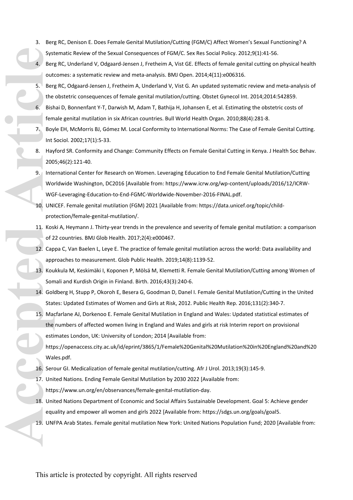- 3. Berg RC, Denison E. Does Female Genital Mutilation/Cutting (FGM/C) Affect Women's Sexual Functioning? A Systematic Review of the Sexual Consequences of FGM/C. Sex Res Social Policy. 2012;9(1):41-56.
- 4. Berg RC, Underland V, Odgaard-Jensen J, Fretheim A, Vist GE. Effects of female genital cutting on physical health outcomes: a systematic review and meta-analysis. BMJ Open. 2014;4(11):e006316.
- 5. Berg RC, Odgaard-Jensen J, Fretheim A, Underland V, Vist G. An updated systematic review and meta-analysis of the obstetric consequences of female genital mutilation/cutting. Obstet Gynecol Int. 2014;2014:542859.
- 6. Bishai D, Bonnenfant Y-T, Darwish M, Adam T, Bathija H, Johansen E, et al. Estimating the obstetric costs of female genital mutilation in six African countries. Bull World Health Organ. 2010;88(4):281-8.
- 7. Boyle EH, McMorris BJ, Gómez M. Local Conformity to International Norms: The Case of Female Genital Cutting. Int Sociol. 2002;17(1):5-33.
- 8. Hayford SR. Conformity and Change: Community Effects on Female Genital Cutting in Kenya. J Health Soc Behav. 2005;46(2):121-40.
- 9. International Center for Research on Women. Leveraging Education to End Female Genital Mutilation/Cutting Worldwide Washington, DC2016 [Available from: [https://www.icrw.org/wp-content/uploads/2016/12/ICRW-](https://www.icrw.org/wp-content/uploads/2016/12/ICRW-WGF-Leveraging-Education-to-End-FGMC-Worldwide-November-2016-FINAL.pdf)[WGF-Leveraging-Education-to-End-FGMC-Worldwide-November-2016-FINAL.pdf](https://www.icrw.org/wp-content/uploads/2016/12/ICRW-WGF-Leveraging-Education-to-End-FGMC-Worldwide-November-2016-FINAL.pdf).
- 10. UNICEF. Female genital mutilation (FGM) 2021 [Available from: [https://data.unicef.org/topic/child](https://data.unicef.org/topic/child-protection/female-genital-mutilation/)[protection/female-genital-mutilation/](https://data.unicef.org/topic/child-protection/female-genital-mutilation/).
- 11. Koski A, Heymann J. Thirty-year trends in the prevalence and severity of female genital mutilation: a comparison of 22 countries. BMJ Glob Health. 2017;2(4):e000467.
- 12. Cappa C, Van Baelen L, Leye E. The practice of female genital mutilation across the world: Data availability and approaches to measurement. Glob Public Health. 2019;14(8):1139-52.
- 13. Koukkula M, Keskimäki I, Koponen P, Mölsä M, Klemetti R. Female Genital Mutilation/Cutting among Women of Somali and Kurdish Origin in Finland. Birth. 2016;43(3):240-6.
- 14. Goldberg H, Stupp P, Okoroh E, Besera G, Goodman D, Danel I. Female Genital Mutilation/Cutting in the United States: Updated Estimates of Women and Girls at Risk, 2012. Public Health Rep. 2016;131(2):340-7.
- 15. Macfarlane AJ, Dorkenoo E. Female Genital Mutilation in England and Wales: Updated statistical estimates of the numbers of affected women living in England and Wales and girls at risk Interim report on provisional estimates London, UK: University of London; 2014 [Available from: System Articles State<br> **A.** Bern dut Bern the 6. Bish fem Boy<br>
Int 1. Kos May 2000<br>
9. Inter Wo WG 10. UNI provided Articles State<br>
11. Kos of 2<br>
12. Cap app 13. Kou Son 14. Goll<br>
5. May the estil state<br>
15. May the estil
	- [https://openaccess.city.ac.uk/id/eprint/3865/1/Female%20Genital%20Mutilation%20in%20England%20and%20](https://openaccess.city.ac.uk/id/eprint/3865/1/Female%20Genital%20Mutilation%20in%20England%20and%20Wales.pdf) [Wales.pdf.](https://openaccess.city.ac.uk/id/eprint/3865/1/Female%20Genital%20Mutilation%20in%20England%20and%20Wales.pdf)
	- 16. Serour GI. Medicalization of female genital mutilation/cutting. Afr J Urol. 2013;19(3):145-9.
	- 17. United Nations. Ending Female Genital Mutilation by 2030 2022 [Available from: <https://www.un.org/en/observances/female-genital-mutilation-day>.
	- 18. United Nations Department of Economic and Social Affairs Sustainable Development. Goal 5: Achieve gender equality and empower all women and girls 2022 [Available from: [https://sdgs.un.org/goals/goal5.](https://sdgs.un.org/goals/goal5)
	- 19. UNFPA Arab States. Female genital mutilation New York: United Nations Population Fund; 2020 [Available from: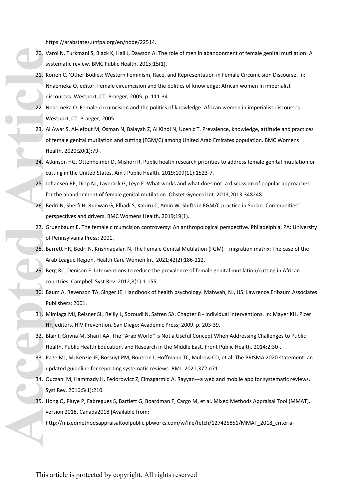<https://arabstates.unfpa.org/en/node/22514>.

- 20. Varol N, Turkmani S, Black K, Hall J, Dawson A. The role of men in abandonment of female genital mutilation: A systematic review. BMC Public Health. 2015;15(1).
- 21. Korieh C. 'Other'Bodies: Western Feminism, Race, and Representation in Female Circumcision Discourse. In: Nnaemeka O, editor. Female circumcision and the politics of knowledge: African women in imperialist discourses. Westport, CT: Praeger; 2005. p. 111-34. 20. Variating system of the discover and the discover and the discover and the discover and the discover and the discover and the discover and the discover and the discover and the discover and the discover and the discove
	- 22. Nnaemeka O. Female circumcision and the politics of knowledge: African women in imperialist discourses. Westport, CT: Praeger; 2005.
	- 23. Al Awar S, Al-Jefout M, Osman N, Balayah Z, Al Kindi N, Ucenic T. Prevalence, knowledge, attitude and practices of female genital mutilation and cutting (FGM/C) among United Arab Emirates population. BMC Womens Health. 2020;20(1):79-.
	- 24. Atkinson HG, Ottenheimer D, Mishori R. Public health research priorities to address female genital mutilation or cutting in the United States. Am J Public Health. 2019;109(11):1523-7.
	- 25. Johansen RE, Diop NJ, Laverack G, Leye E. What works and what does not: a discussion of popular approaches for the abandonment of female genital mutilation. Obstet Gynecol Int. 2013;2013:348248.
	- 26. Bedri N, Sherfi H, Rudwan G, Elhadi S, Kabiru C, Amin W. Shifts in FGM/C practice in Sudan: Communities' perspectives and drivers. BMC Womens Health. 2019;19(1).
	- 27. Gruenbaum E. The female circumcision controversy: An anthropological perspective. Philadelphia, PA: University of Pennsylvania Press; 2001.
	- 28. Barrett HR, Bedri N, Krishnapalan N. The Female Genital Mutilation (FGM) migration matrix: The case of the Arab League Region. Health Care Women Int. 2021;42(2):186-212.
	- 29. Berg RC, Denison E. Interventions to reduce the prevalence of female genital mutilation/cutting in African countries. Campbell Syst Rev. 2012;8(1):1-155.
	- 30. Baum A, Revenson TA, Singer JE. Handbook of health psychology. Mahwah, NJ, US: Lawrence Erlbaum Associates Publishers; 2001.
	- 31. Mimiaga MJ, Reisner SL, Reilly L, Soroudi N, Safren SA. Chapter 8 Individual interventions. In: Mayer KH, Pizer HF, editors. HIV Prevention. San Diego: Academic Press; 2009. p. 203-39.
	- 32. Blair I, Grivna M, Sharif AA. The "Arab World" is Not a Useful Concept When Addressing Challenges to Public Health, Public Health Education, and Research in the Middle East. Front Public Health. 2014;2:30-.
	- 33. Page MJ, McKenzie JE, Bossuyt PM, Boutron I, Hoffmann TC, Mulrow CD, et al. The PRISMA 2020 statement: an updated guideline for reporting systematic reviews. BMJ. 2021;372:n71.
	- 34. Ouzzani M, Hammady H, Fedorowicz Z, Elmagarmid A. Rayyan—a web and mobile app for systematic reviews. Syst Rev. 2016;5(1):210.
	- 35. Hong Q, Pluye P, Fàbregues S, Bartlett G, Boardman F, Cargo M, et al. Mixed Methods Appraisal Tool (MMAT), version 2018. Canada2018 [Available from:
		- [http://mixedmethodsappraisaltoolpublic.pbworks.com/w/file/fetch/127425851/MMAT\\_2018\\_criteria-](http://mixedmethodsappraisaltoolpublic.pbworks.com/w/file/fetch/127425851/MMAT_2018_criteria-manual_2018-04-04.pdf)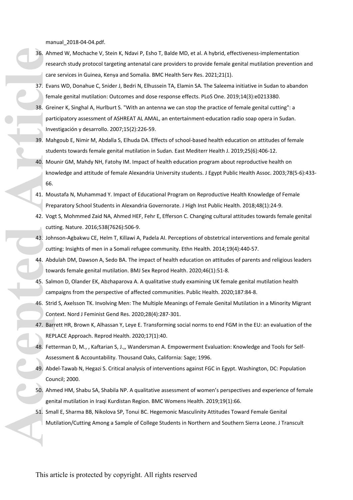[manual\\_2018-04-04.pdf](http://mixedmethodsappraisaltoolpublic.pbworks.com/w/file/fetch/127425851/MMAT_2018_criteria-manual_2018-04-04.pdf).

- 36. Ahmed W, Mochache V, Stein K, Ndavi P, Esho T, Balde MD, et al. A hybrid, effectiveness-implementation research study protocol targeting antenatal care providers to provide female genital mutilation prevention and care services in Guinea, Kenya and Somalia. BMC Health Serv Res. 2021;21(1). 36. Ahn rese<br>
care<br>
care<br>
care<br>
37. Eva<br>
fem<br>
38. Gre<br>
18. Mal<br>
stude<br>
40. Mol<br>
kno<br>
44. Mol<br>
44. Abd<br>
44. Abd<br>
44. Abd<br>
44. Abd<br>
44. Abd<br>
44. Abd<br>
44. Abd<br>
44. Abd<br>
44. Abd<br>
45. Salr<br>
care<br>
45. Salr<br>
care<br>
45. Salr<br>
44. A
	- 37. Evans WD, Donahue C, Snider J, Bedri N, Elhussein TA, Elamin SA. The Saleema initiative in Sudan to abandon female genital mutilation: Outcomes and dose response effects. PLoS One. 2019;14(3):e0213380.
	- 38. Greiner K, Singhal A, Hurlburt S. "With an antenna we can stop the practice of female genital cutting": a participatory assessment of ASHREAT AL AMAL, an entertainment-education radio soap opera in Sudan. Investigación y desarrollo. 2007;15(2):226-59.
	- 39. Mahgoub E, Nimir M, Abdalla S, Elhuda DA. Effects of school-based health education on attitudes of female students towards female genital mutilation in Sudan. East Mediterr Health J. 2019;25(6):406-12.
	- 40. Mounir GM, Mahdy NH, Fatohy IM. Impact of health education program about reproductive health on knowledge and attitude of female Alexandria University students. J Egypt Public Health Assoc. 2003;78(5-6):433- 66.
	- 41. Moustafa N, Muhammad Y. Impact of Educational Program on Reproductive Health Knowledge of Female Preparatory School Students in Alexandria Governorate. J High Inst Public Health. 2018;48(1):24-9.
	- 42. Vogt S, Mohmmed Zaid NA, Ahmed HEF, Fehr E, Efferson C. Changing cultural attitudes towards female genital cutting. Nature. 2016;538(7626):506-9.
	- 43. Johnson-Agbakwu CE, Helm T, Killawi A, Padela AI. Perceptions of obstetrical interventions and female genital cutting: Insights of men in a Somali refugee community. Ethn Health. 2014;19(4):440-57.
	- 44. Abdulah DM, Dawson A, Sedo BA. The impact of health education on attitudes of parents and religious leaders towards female genital mutilation. BMJ Sex Reprod Health. 2020;46(1):51-8.
	- 45. Salmon D, Olander EK, Abzhaparova A. A qualitative study examining UK female genital mutilation health campaigns from the perspective of affected communities. Public Health. 2020;187:84-8.
	- 46. Strid S, Axelsson TK. Involving Men: The Multiple Meanings of Female Genital Mutilation in a Minority Migrant Context. Nord J Feminist Gend Res. 2020;28(4):287-301.
	- 47. Barrett HR, Brown K, Alhassan Y, Leye E. Transforming social norms to end FGM in the EU: an evaluation of the REPLACE Approach. Reprod Health. 2020;17(1):40.
	- 48. Fetterman D, M., , Kaftarian S, J.,, Wandersman A. Empowerment Evaluation: Knowledge and Tools for Self-Assessment & Accountability. Thousand Oaks, California: Sage; 1996.
	- 49. Abdel-Tawab N, Hegazi S. Critical analysis of interventions against FGC in Egypt. Washington, DC: Population Council; 2000.
	- 50. Ahmed HM, Shabu SA, Shabila NP. A qualitative assessment of women's perspectives and experience of female genital mutilation in Iraqi Kurdistan Region. BMC Womens Health. 2019;19(1):66.
	- 51. Small E, Sharma BB, Nikolova SP, Tonui BC. Hegemonic Masculinity Attitudes Toward Female Genital Mutilation/Cutting Among a Sample of College Students in Northern and Southern Sierra Leone. J Transcult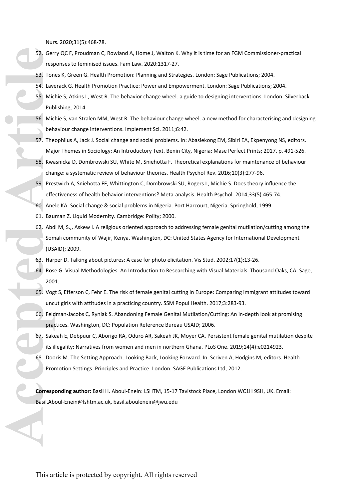Nurs. 2020;31(5):468-78.

- 52. Gerry QC F, Proudman C, Rowland A, Home J, Walton K. Why it is time for an FGM Commissioner-practical responses to feminised issues. Fam Law. 2020:1317-27.
- 53. Tones K, Green G. Health Promotion: Planning and Strategies. London: Sage Publications; 2004.
- 54. Laverack G. Health Promotion Practice: Power and Empowerment. London: Sage Publications; 2004.
- 55. Michie S, Atkins L, West R. The behavior change wheel: a guide to designing interventions. London: Silverback Publishing; 2014.
- 56. Michie S, van Stralen MM, West R. The behaviour change wheel: a new method for characterising and designing behaviour change interventions. Implement Sci. 2011;6:42.
- 57. Theophilus A, Jack J. Social change and social problems. In: Abasiekong EM, Sibiri EA, Ekpenyong NS, editors. Major Themes in Sociology: An Introductory Text. Benin City, Nigeria: Mase Perfect Prints; 2017. p. 491-526.
- 58. Kwasnicka D, Dombrowski SU, White M, Sniehotta F. Theoretical explanations for maintenance of behaviour change: a systematic review of behaviour theories. Health Psychol Rev. 2016;10(3):277-96.
- 59. Prestwich A, Sniehotta FF, Whittington C, Dombrowski SU, Rogers L, Michie S. Does theory influence the effectiveness of health behavior interventions? Meta-analysis. Health Psychol. 2014;33(5):465-74.
- 60. Anele KA. Social change & social problems in Nigeria. Port Harcourt, Nigeria: Springhold; 1999.
- 61. Bauman Z. Liquid Modernity. Cambridge: Polity; 2000.
- 62. Abdi M, S.,, Askew I. A religious oriented approach to addressing female genital mutilation/cutting among the Somali community of Wajir, Kenya. Washington, DC: United States Agency for International Development (USAID); 2009. 52. Ger<br>
Frest<br>
53. Ton<br>
54. Law<br>
55. Mic<br>
55. Mic<br>
16. Mic<br>
beh<br>
57. The<br>
58. Kwa<br>
ch<br>
58. Kwa<br>
ch<br>
66. Ane<br>
61. Bau<br>
62. Abd<br>
som<br>
(US. Har<br>
64. Ros<br>
200<br>
65. Ma<br>
59. Pre:<br>
Free free praces<br>
59. Har<br>
64. Ros<br>
200<br>
65. Vo
	- 63. Harper D. Talking about pictures: A case for photo elicitation. Vis Stud. 2002;17(1):13-26.
	- 64. Rose G. Visual Methodologies: An Introduction to Researching with Visual Materials. Thousand Oaks, CA: Sage; 2001.
	- 65. Vogt S, Efferson C, Fehr E. The risk of female genital cutting in Europe: Comparing immigrant attitudes toward uncut girls with attitudes in a practicing country. SSM Popul Health. 2017;3:283-93.
	- 66. Feldman-Jacobs C, Ryniak S. Abandoning Female Genital Mutilation/Cutting: An in-depth look at promising practices. Washington, DC: Population Reference Bureau USAID; 2006.
	- 67. Sakeah E, Debpuur C, Aborigo RA, Oduro AR, Sakeah JK, Moyer CA. Persistent female genital mutilation despite its illegality: Narratives from women and men in northern Ghana. PLoS One. 2019;14(4):e0214923.
	- 68. Dooris M. The Setting Approach: Looking Back, Looking Forward. In: Scriven A, Hodgins M, editors. Health Promotion Settings: Principles and Practice. London: SAGE Publications Ltd; 2012.

**Corresponding author:** Basil H. Aboul-Enein: LSHTM, 15-17 Tavistock Place, London WC1H 9SH, UK. Email: Basil.Aboul-Enein@lshtm.ac.uk, basil.aboulenein@jwu.edu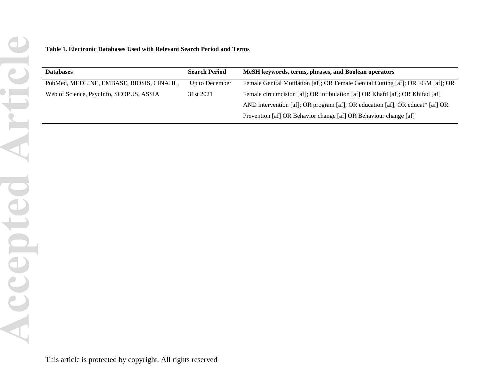| <b>Databases</b>                         | <b>Search Period</b> | MeSH keywords, terms, phrases, and Boolean operators                            |
|------------------------------------------|----------------------|---------------------------------------------------------------------------------|
| PubMed, MEDLINE, EMBASE, BIOSIS, CINAHL, | Up to December       | Female Genital Mutilation [af]; OR Female Genital Cutting [af]; OR FGM [af]; OR |
| Web of Science, PsycInfo, SCOPUS, ASSIA  | 31st 2021            | Female circumcision [af]; OR infibulation [af] OR Khafd [af]; OR Khifad [af]    |
|                                          |                      | AND intervention [af]; OR program [af]; OR education [af]; OR educat* [af] OR   |
|                                          |                      | Prevention [af] OR Behavior change [af] OR Behaviour change [af]                |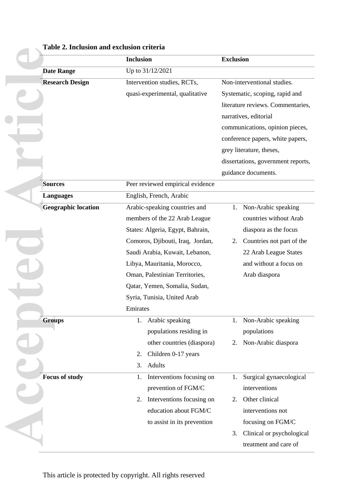|                            | <b>Inclusion</b>                 | <b>Exclusion</b>                   |  |  |
|----------------------------|----------------------------------|------------------------------------|--|--|
| <b>Date Range</b>          |                                  |                                    |  |  |
| <b>Research Design</b>     | Intervention studies, RCTs,      | Non-interventional studies.        |  |  |
|                            | quasi-experimental, qualitative  | Systematic, scoping, rapid and     |  |  |
|                            |                                  | literature reviews. Commentaries,  |  |  |
|                            |                                  | narratives, editorial              |  |  |
|                            |                                  | communications, opinion pieces,    |  |  |
|                            |                                  | conference papers, white papers,   |  |  |
|                            |                                  | grey literature, theses,           |  |  |
|                            |                                  | dissertations, government reports, |  |  |
|                            |                                  | guidance documents.                |  |  |
| <b>Sources</b>             | Peer reviewed empirical evidence |                                    |  |  |
| <b>Languages</b>           | English, French, Arabic          |                                    |  |  |
| <b>Geographic location</b> | Arabic-speaking countries and    | Non-Arabic speaking<br>1.          |  |  |
|                            | members of the 22 Arab League    | countries without Arab             |  |  |
|                            | States: Algeria, Egypt, Bahrain, | diaspora as the focus              |  |  |
|                            | Comoros, Djibouti, Iraq, Jordan, | Countries not part of the<br>2.    |  |  |
|                            | Saudi Arabia, Kuwait, Lebanon,   | 22 Arab League States              |  |  |
|                            | Libya, Mauritania, Morocco,      | and without a focus on             |  |  |
|                            | Oman, Palestinian Territories,   | Arab diaspora                      |  |  |
|                            | Qatar, Yemen, Somalia, Sudan,    |                                    |  |  |
|                            | Syria, Tunisia, United Arab      |                                    |  |  |
|                            | Emirates                         |                                    |  |  |
| <b>Groups</b>              | Arabic speaking<br>1.            | Non-Arabic speaking<br>1.          |  |  |
|                            | populations residing in          | populations                        |  |  |
|                            | other countries (diaspora)       | Non-Arabic diaspora<br>2.          |  |  |
|                            | Children 0-17 years<br>2.        |                                    |  |  |
|                            | <b>Adults</b><br>3.              |                                    |  |  |
| <b>Focus of study</b>      | Interventions focusing on<br>1.  | Surgical gynaecological<br>1.      |  |  |
|                            | prevention of FGM/C              | interventions                      |  |  |
|                            | Interventions focusing on<br>2.  | Other clinical<br>2.               |  |  |
|                            | education about FGM/C            | interventions not                  |  |  |
|                            | to assist in its prevention      | focusing on FGM/C                  |  |  |
|                            |                                  | Clinical or psychological<br>3.    |  |  |
|                            |                                  | treatment and care of              |  |  |

### **Table 2. Inclusion and exclusion criteria**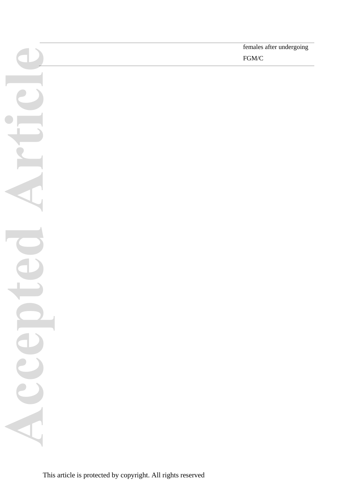**Accepted Article**ACC

females after undergoing

FGM/C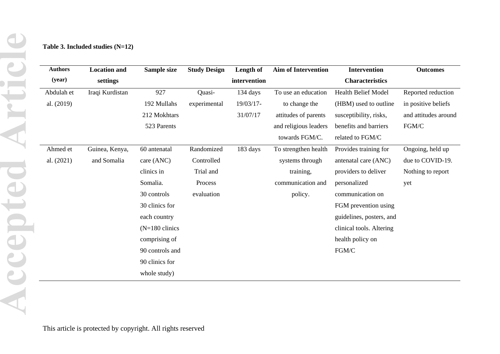| <b>Authors</b> | <b>Location and</b> | Sample size               | <b>Study Design</b> | Length of    | <b>Aim of Intervention</b> | <b>Intervention</b>      | <b>Outcomes</b>      |
|----------------|---------------------|---------------------------|---------------------|--------------|----------------------------|--------------------------|----------------------|
| (year)         | settings            |                           |                     | intervention |                            | <b>Characteristics</b>   |                      |
| Abdulah et     | Iraqi Kurdistan     | 927                       | Quasi-              | 134 days     | To use an education        | Health Belief Model      | Reported reduction   |
| al. (2019)     |                     | 192 Mullahs               | experimental        | 19/03/17-    | to change the              | (HBM) used to outline    | in positive beliefs  |
|                |                     | 212 Mokhtars              |                     | 31/07/17     | attitudes of parents       | susceptibility, risks,   | and attitudes around |
|                |                     | 523 Parents               |                     |              | and religious leaders      | benefits and barriers    | FGM/C                |
|                |                     |                           |                     |              | towards FGM/C.             | related to FGM/C         |                      |
| Ahmed et       | Guinea, Kenya,      | 60 antenatal              | Randomized          | 183 days     | To strengthen health       | Provides training for    | Ongoing, held up     |
| al. (2021)     | and Somalia         | care (ANC)                | Controlled          |              | systems through            | antenatal care (ANC)     | due to COVID-19.     |
|                |                     | clinics in                | Trial and           |              | training,                  | providers to deliver     | Nothing to report    |
|                |                     | Somalia.                  | Process             |              | communication and          | personalized             | yet                  |
|                |                     | 30 controls               | evaluation          |              | policy.                    | communication on         |                      |
|                |                     | 30 clinics for            |                     |              |                            | FGM prevention using     |                      |
|                |                     | each country              |                     |              |                            | guidelines, posters, and |                      |
|                |                     | $(N=180 \text{ clinics})$ |                     |              |                            | clinical tools. Altering |                      |
|                |                     | comprising of             |                     |              |                            | health policy on         |                      |
|                |                     | 90 controls and           |                     |              |                            | ${\rm FGM}/C$            |                      |
|                |                     | 90 clinics for            |                     |              |                            |                          |                      |
|                |                     | whole study)              |                     |              |                            |                          |                      |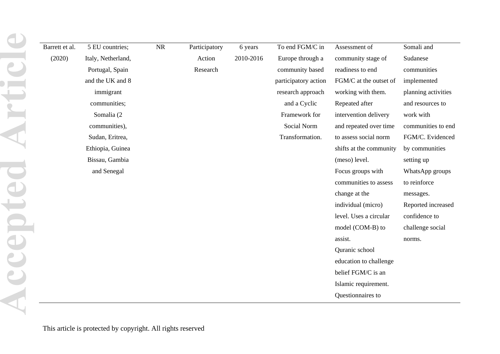| Barrett et al. | 5 EU countries;    | NR | Participatory | 6 years   | To end FGM/C in      | Assessment of           | Somali and          |
|----------------|--------------------|----|---------------|-----------|----------------------|-------------------------|---------------------|
| (2020)         | Italy, Netherland, |    | Action        | 2010-2016 | Europe through a     | community stage of      | Sudanese            |
|                | Portugal, Spain    |    | Research      |           | community based      | readiness to end        | communities         |
|                | and the UK and 8   |    |               |           | participatory action | FGM/C at the outset of  | implemented         |
|                | immigrant          |    |               |           | research approach    | working with them.      | planning activities |
|                | communities;       |    |               |           | and a Cyclic         | Repeated after          | and resources to    |
|                | Somalia (2         |    |               |           | Framework for        | intervention delivery   | work with           |
|                | communities),      |    |               |           | Social Norm          | and repeated over time  | communities to end  |
|                | Sudan, Eritrea,    |    |               |           | Transformation.      | to assess social norm   | FGM/C. Evidenced    |
|                | Ethiopia, Guinea   |    |               |           |                      | shifts at the community | by communities      |
|                | Bissau, Gambia     |    |               |           |                      | (meso) level.           | setting up          |
|                | and Senegal        |    |               |           |                      | Focus groups with       | WhatsApp groups     |
|                |                    |    |               |           |                      | communities to assess   | to reinforce        |
|                |                    |    |               |           |                      | change at the           | messages.           |
|                |                    |    |               |           |                      | individual (micro)      | Reported increased  |
|                |                    |    |               |           |                      | level. Uses a circular  | confidence to       |
|                |                    |    |               |           |                      | model (COM-B) to        | challenge social    |
|                |                    |    |               |           |                      | assist.                 | norms.              |
|                |                    |    |               |           |                      | Quranic school          |                     |
|                |                    |    |               |           |                      | education to challenge  |                     |
|                |                    |    |               |           |                      | belief FGM/C is an      |                     |
|                |                    |    |               |           |                      | Islamic requirement.    |                     |
|                |                    |    |               |           |                      | Questionnaires to       |                     |
|                |                    |    |               |           |                      |                         |                     |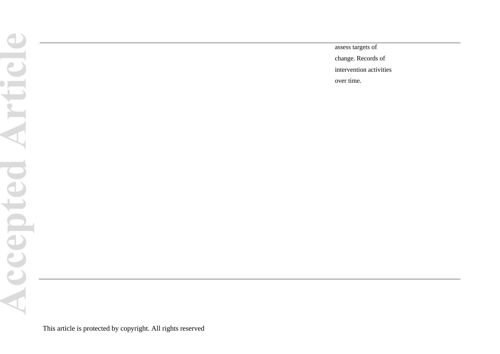assess targets of

change. Records of

intervention activities

over time.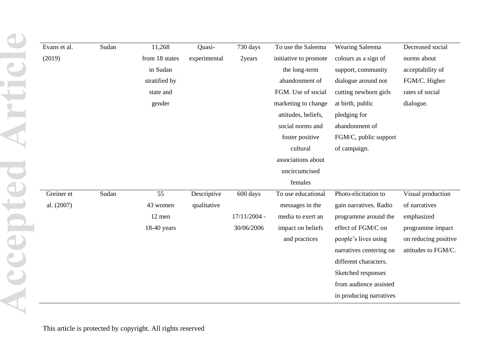| Evans et al. | Sudan | 11,268         | Quasi-       | 730 days       | To use the Saleema    | Wearing Saleema         | Decreased social     |
|--------------|-------|----------------|--------------|----------------|-----------------------|-------------------------|----------------------|
| (2019)       |       | from 18 states | experimental | 2years         | initiative to promote | colours as a sign of    | norms about          |
|              |       | in Sudan       |              |                | the long-term         | support, community      | acceptability of     |
|              |       | stratified by  |              |                | abandonment of        | dialogue around not     | FGM/C. Higher        |
|              |       | state and      |              |                | FGM. Use of social    | cutting newborn girls   | rates of social      |
|              |       | gender         |              |                | marketing to change   | at birth, public        | dialogue.            |
|              |       |                |              |                | attitudes, beliefs,   | pledging for            |                      |
|              |       |                |              |                | social norms and      | abandonment of          |                      |
|              |       |                |              |                | foster positive       | FGM/C, public support   |                      |
|              |       |                |              |                | cultural              | of campaign.            |                      |
|              |       |                |              |                | associations about    |                         |                      |
|              |       |                |              |                | uncircumcised         |                         |                      |
|              |       |                |              |                | females               |                         |                      |
| Greiner et   | Sudan | 55             | Descriptive  | 600 days       | To use educational    | Photo-elicitation to    | Visual production    |
| al. (2007)   |       | 43 women       | qualitative  |                | messages in the       | gain narratives. Radio  | of narratives        |
|              |       | 12 men         |              | $17/11/2004 -$ | media to exert an     | programme around the    | emphasized           |
|              |       | $18-40$ years  |              | 30/06/2006     | impact on beliefs     | effect of FGM/C on      | programme impact     |
|              |       |                |              |                | and practices         | people's lives using    | on reducing positive |
|              |       |                |              |                |                       | narratives centering on | attitudes to FGM/C.  |
|              |       |                |              |                |                       | different characters.   |                      |
|              |       |                |              |                |                       | Sketched responses      |                      |
|              |       |                |              |                |                       | from audience assisted  |                      |
|              |       |                |              |                |                       | in producing narratives |                      |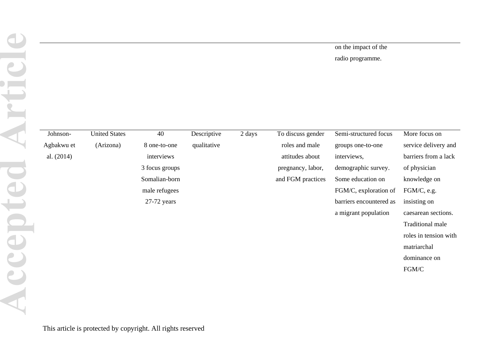## on the impact of the

radio programme.

| Johnson-     | <b>United States</b> | 40             | Descriptive | 2 days | To discuss gender | Semi-structured focus   | More focus on         |
|--------------|----------------------|----------------|-------------|--------|-------------------|-------------------------|-----------------------|
| Agbakwu et   | (Arizona)            | 8 one-to-one   | qualitative |        | roles and male    | groups one-to-one       | service delivery and  |
| al. $(2014)$ |                      | interviews     |             |        | attitudes about   | interviews,             | barriers from a lack  |
|              |                      | 3 focus groups |             |        | pregnancy, labor, | demographic survey.     | of physician          |
|              |                      | Somalian-born  |             |        | and FGM practices | Some education on       | knowledge on          |
|              |                      | male refugees  |             |        |                   | FGM/C, exploration of   | FGM/C, e.g.           |
|              |                      | $27-72$ years  |             |        |                   | barriers encountered as | insisting on          |
|              |                      |                |             |        |                   | a migrant population    | caesarean sections.   |
|              |                      |                |             |        |                   |                         | Traditional male      |
|              |                      |                |             |        |                   |                         | roles in tension with |
|              |                      |                |             |        |                   |                         | matriarchal           |
|              |                      |                |             |        |                   |                         | dominance on          |
|              |                      |                |             |        |                   |                         | FGM/C                 |
|              |                      |                |             |        |                   |                         |                       |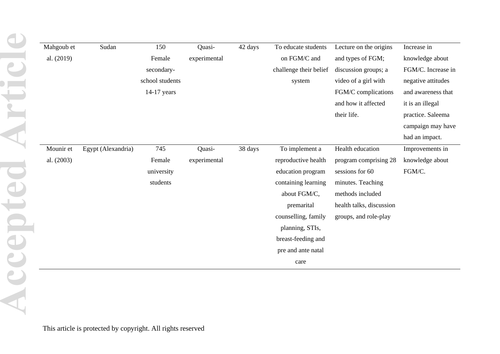| Mahgoub et | Sudan              | 150             | Quasi-       | 42 days | To educate students    | Lecture on the origins   | Increase in        |
|------------|--------------------|-----------------|--------------|---------|------------------------|--------------------------|--------------------|
| al. (2019) |                    | Female          | experimental |         | on FGM/C and           | and types of FGM;        | knowledge about    |
|            |                    | secondary-      |              |         | challenge their belief | discussion groups; a     | FGM/C. Increase in |
|            |                    | school students |              |         | system                 | video of a girl with     | negative attitudes |
|            |                    | 14-17 years     |              |         |                        | FGM/C complications      | and awareness that |
|            |                    |                 |              |         |                        | and how it affected      | it is an illegal   |
|            |                    |                 |              |         |                        | their life.              | practice. Saleema  |
|            |                    |                 |              |         |                        |                          | campaign may have  |
|            |                    |                 |              |         |                        |                          | had an impact.     |
| Mounir et  | Egypt (Alexandria) | 745             | Quasi-       | 38 days | To implement a         | Health education         | Improvements in    |
| al. (2003) |                    | Female          | experimental |         | reproductive health    | program comprising 28    | knowledge about    |
|            |                    | university      |              |         | education program      | sessions for 60          | FGM/C.             |
|            |                    | students        |              |         | containing learning    | minutes. Teaching        |                    |
|            |                    |                 |              |         | about FGM/C,           | methods included         |                    |
|            |                    |                 |              |         | premarital             | health talks, discussion |                    |
|            |                    |                 |              |         | counselling, family    | groups, and role-play    |                    |
|            |                    |                 |              |         | planning, STIs,        |                          |                    |
|            |                    |                 |              |         | breast-feeding and     |                          |                    |
|            |                    |                 |              |         | pre and ante natal     |                          |                    |
|            |                    |                 |              |         | care                   |                          |                    |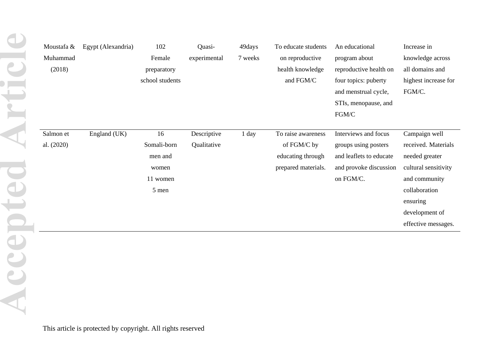| Moustafa & | Egypt (Alexandria) | 102             | Quasi-       | 49days  | To educate students | An educational          | Increase in          |
|------------|--------------------|-----------------|--------------|---------|---------------------|-------------------------|----------------------|
| Muhammad   |                    | Female          | experimental | 7 weeks | on reproductive     | program about           | knowledge across     |
| (2018)     |                    | preparatory     |              |         | health knowledge    | reproductive health on  | all domains and      |
|            |                    | school students |              |         | and FGM/C           | four topics: puberty    | highest increase for |
|            |                    |                 |              |         |                     | and menstrual cycle,    | FGM/C.               |
|            |                    |                 |              |         |                     | STIs, menopause, and    |                      |
|            |                    |                 |              |         |                     | FGM/C                   |                      |
|            |                    |                 |              |         |                     |                         |                      |
| Salmon et  | England (UK)       | 16              | Descriptive  | 1 day   | To raise awareness  | Interviews and focus    | Campaign well        |
| al. (2020) |                    | Somali-born     | Qualitative  |         | of FGM/C by         | groups using posters    | received. Materials  |
|            |                    | men and         |              |         | educating through   | and leaflets to educate | needed greater       |
|            |                    | women           |              |         | prepared materials. | and provoke discussion  | cultural sensitivity |
|            |                    | 11 women        |              |         |                     | on FGM/C.               | and community        |
|            |                    | 5 men           |              |         |                     |                         | collaboration        |
|            |                    |                 |              |         |                     |                         | ensuring             |
|            |                    |                 |              |         |                     |                         | development of       |
|            |                    |                 |              |         |                     |                         | effective messages.  |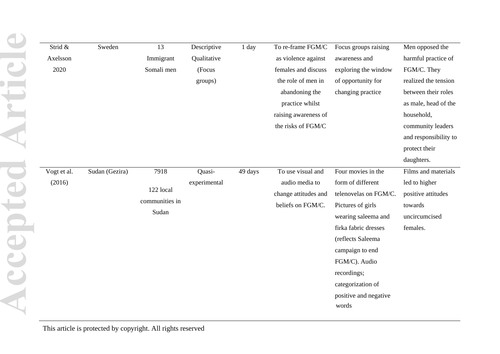| Strid &     | Sweden         | 13             | Descriptive  | 1 day   | To re-frame FGM/C    | Focus groups raising  | Men opposed the       |
|-------------|----------------|----------------|--------------|---------|----------------------|-----------------------|-----------------------|
| Axelsson    |                | Immigrant      | Qualitative  |         | as violence against  | awareness and         | harmful practice of   |
| 2020        |                | Somali men     | (Focus       |         | females and discuss  | exploring the window  | FGM/C. They           |
|             |                |                | groups)      |         | the role of men in   | of opportunity for    | realized the tension  |
|             |                |                |              |         | abandoning the       | changing practice     | between their roles   |
|             |                |                |              |         | practice whilst      |                       | as male, head of the  |
|             |                |                |              |         | raising awareness of |                       | household,            |
|             |                |                |              |         | the risks of FGM/C   |                       | community leaders     |
|             |                |                |              |         |                      |                       | and responsibility to |
|             |                |                |              |         |                      |                       | protect their         |
|             |                |                |              |         |                      |                       | daughters.            |
| Vogt et al. | Sudan (Gezira) | 7918           | Quasi-       | 49 days | To use visual and    | Four movies in the    | Films and materials   |
| (2016)      |                |                | experimental |         | audio media to       | form of different     | led to higher         |
|             |                | 122 local      |              |         | change attitudes and | telenovelas on FGM/C. | positive attitudes    |
|             |                | communities in |              |         | beliefs on FGM/C.    | Pictures of girls     | towards               |
|             |                | Sudan          |              |         |                      | wearing saleema and   | uncircumcised         |
|             |                |                |              |         |                      | firka fabric dresses  | females.              |
|             |                |                |              |         |                      | (reflects Saleema     |                       |
|             |                |                |              |         |                      | campaign to end       |                       |
|             |                |                |              |         |                      | FGM/C). Audio         |                       |
|             |                |                |              |         |                      | recordings;           |                       |
|             |                |                |              |         |                      | categorization of     |                       |
|             |                |                |              |         |                      | positive and negative |                       |
|             |                |                |              |         |                      | words                 |                       |
|             |                |                |              |         |                      |                       |                       |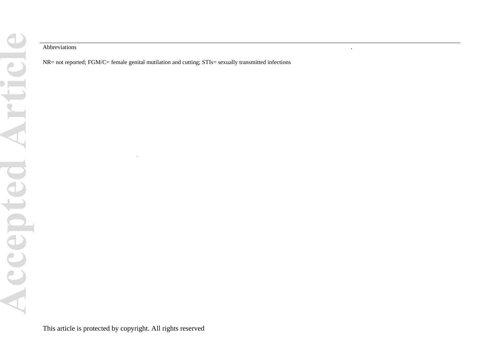#### Abbreviations .

NR= not reported; FGM/C= female genital mutilation and cutting; STIs= sexually transmitted infections